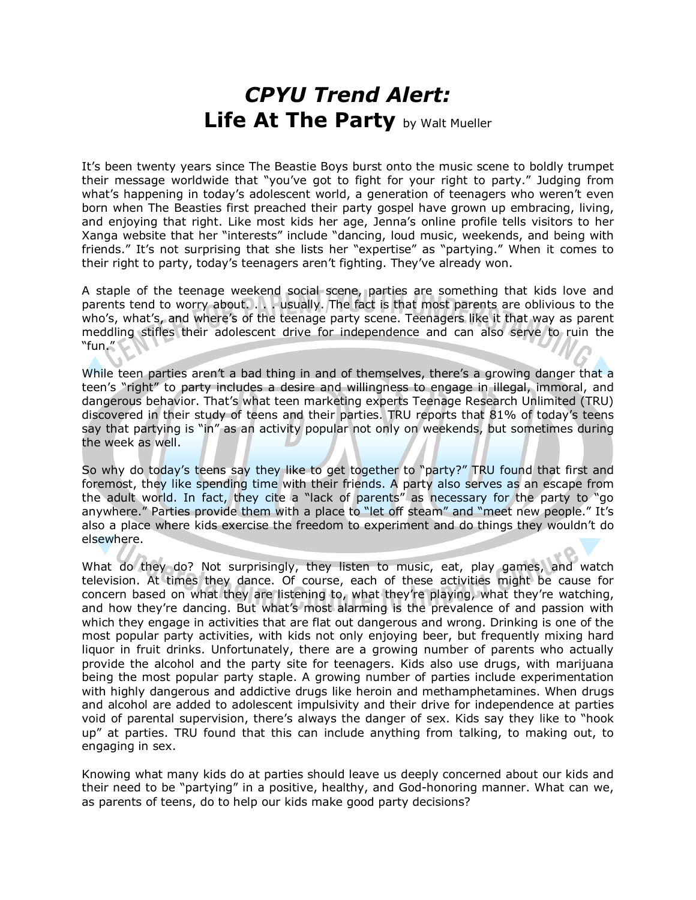## CPYU Trend Alert: Life At The Party by Walt Mueller

It's been twenty years since The Beastie Boys burst onto the music scene to boldly trumpet their message worldwide that "you've got to fight for your right to party." Judging from what's happening in today's adolescent world, a generation of teenagers who weren't even born when The Beasties first preached their party gospel have grown up embracing, living, and enjoying that right. Like most kids her age, Jenna's online profile tells visitors to her Xanga website that her "interests" include "dancing, loud music, weekends, and being with friends." It's not surprising that she lists her "expertise" as "partying." When it comes to their right to party, today's teenagers aren't fighting. They've already won.

A staple of the teenage weekend social scene, parties are something that kids love and parents tend to worry about. . . . usually. The fact is that most parents are oblivious to the who's, what's, and where's of the teenage party scene. Teenagers like it that way as parent meddling stifles their adolescent drive for independence and can also serve to ruin the "fun."

While teen parties aren't a bad thing in and of themselves, there's a growing danger that a teen's "right" to party includes a desire and willingness to engage in illegal, immoral, and dangerous behavior. That's what teen marketing experts Teenage Research Unlimited (TRU) discovered in their study of teens and their parties. TRU reports that 81% of today's teens say that partying is "in" as an activity popular not only on weekends, but sometimes during the week as well.

So why do today's teens say they like to get together to "party?" TRU found that first and foremost, they like spending time with their friends. A party also serves as an escape from the adult world. In fact, they cite a "lack of parents" as necessary for the party to "go anywhere." Parties provide them with a place to "let off steam" and "meet new people." It's also a place where kids exercise the freedom to experiment and do things they wouldn't do elsewhere.

What do they do? Not surprisingly, they listen to music, eat, play games, and watch television. At times they dance. Of course, each of these activities might be cause for concern based on what they are listening to, what they're playing, what they're watching, and how they're dancing. But what's most alarming is the prevalence of and passion with which they engage in activities that are flat out dangerous and wrong. Drinking is one of the most popular party activities, with kids not only enjoying beer, but frequently mixing hard liquor in fruit drinks. Unfortunately, there are a growing number of parents who actually provide the alcohol and the party site for teenagers. Kids also use drugs, with marijuana being the most popular party staple. A growing number of parties include experimentation with highly dangerous and addictive drugs like heroin and methamphetamines. When drugs and alcohol are added to adolescent impulsivity and their drive for independence at parties void of parental supervision, there's always the danger of sex. Kids say they like to "hook up" at parties. TRU found that this can include anything from talking, to making out, to engaging in sex.

Knowing what many kids do at parties should leave us deeply concerned about our kids and their need to be "partying" in a positive, healthy, and God-honoring manner. What can we, as parents of teens, do to help our kids make good party decisions?